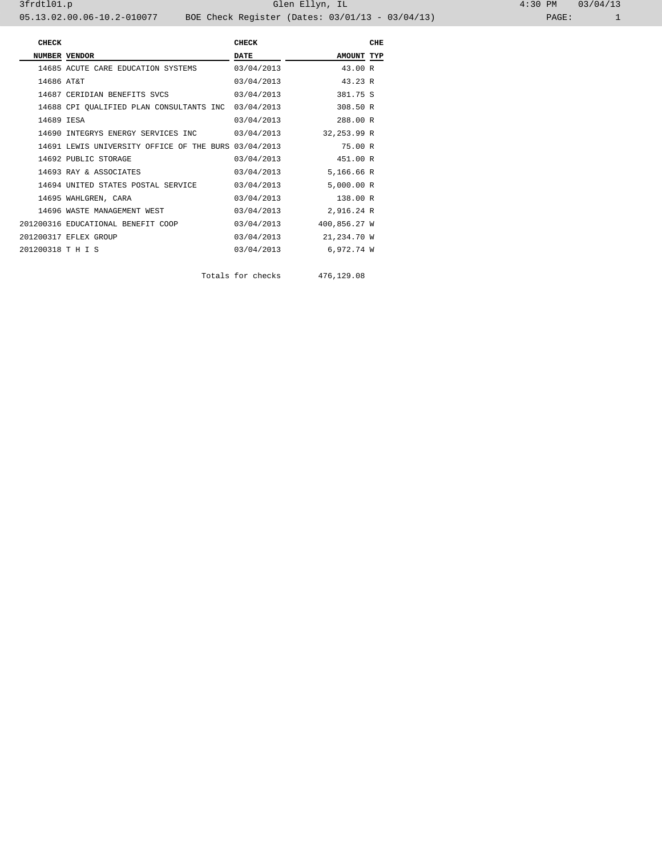3frdtl01.p Glen Ellyn, IL 4:30 PM 03/04/13 05.13.02.00.06-10.2-010077 BOE Check Register (Dates: 03/01/13 - 03/04/13) PAGE: 1

**CHECK CHECK** CHECK CHECK CHECK  **NUMBER VENDOR DATE BATE AMOUNT TYP**  14685 ACUTE CARE EDUCATION SYSTEMS 03/04/2013 43.00 R 14686 AT&T 03/04/2013 43.23 R 14687 CERIDIAN BENEFITS SVCS 03/04/2013 381.75 S 14688 CPI QUALIFIED PLAN CONSULTANTS INC 03/04/2013 308.50 R 14689 IESA 03/04/2013 288.00 R 14690 INTEGRYS ENERGY SERVICES INC 03/04/2013 32,253.99 R 14691 LEWIS UNIVERSITY OFFICE OF THE BURS 03/04/2013 75.00 R 14692 PUBLIC STORAGE 03/04/2013 451.00 R 14693 RAY & ASSOCIATES 03/04/2013 5,166.66 R 14694 UNITED STATES POSTAL SERVICE 03/04/2013 5,000.00 R 14695 WAHLGREN, CARA 03/04/2013 138.00 R 14696 WASTE MANAGEMENT WEST <br>200316 EDUCATIONAL BENEFIT COOP 03/04/2013 400,856.27 W 201200316 EDUCATIONAL BENEFIT COOP 03/04/2013 400,856.27 W 201200317 EFLEX GROUP 03/04/2013 21,234.70 W 201200318 T H I S 03/04/2013 6,972.74 W

Totals for checks 476,129.08